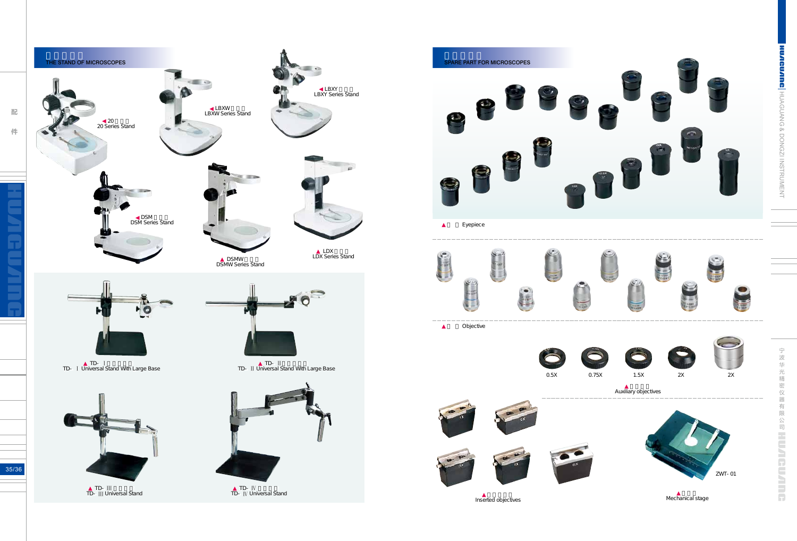配件

Mechanical stage









Inserted objectives